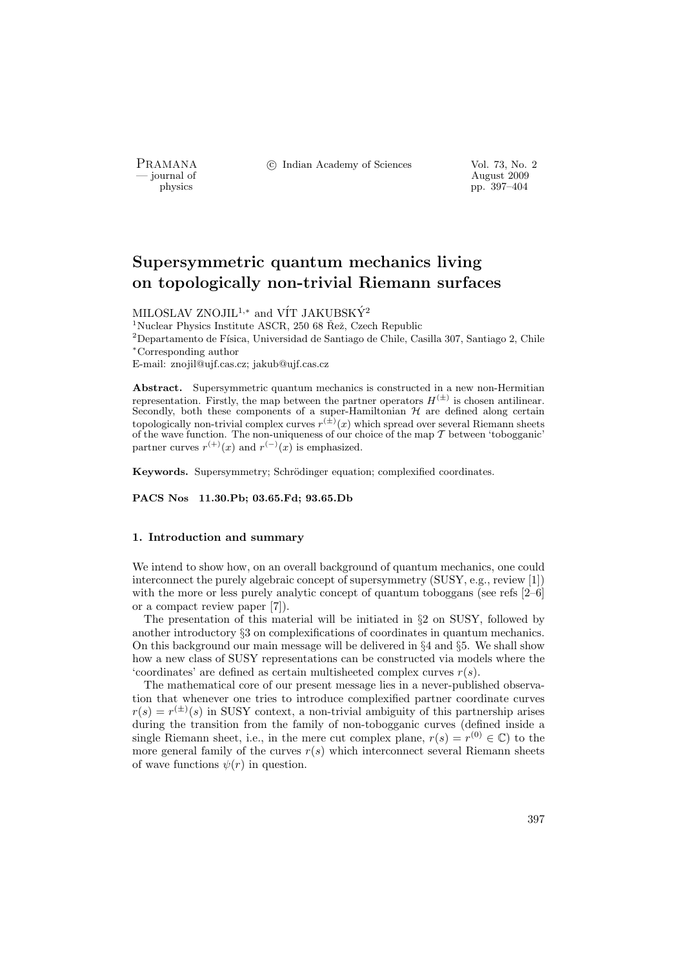PRAMANA °c Indian Academy of Sciences Vol. 73, No. 2

physics and the contract of the contract of the contract of the contract of the contract of the contract of the contract of the contract of the contract of the contract of the contract of the contract of the contract of th pp. 397–404

# Supersymmetric quantum mechanics living on topologically non-trivial Riemann surfaces

MILOSLAV ZNOJIL<sup>1,\*</sup> and VÍT JAKUBSKÝ<sup>2</sup>

<sup>1</sup>Nuclear Physics Institute ASCR, 250 68  $\check{R}$ ež, Czech Republic

 $^2$ Departamento de Física, Universidad de Santiago de Chile, Casilla 307, Santiago 2, Chile <sup>∗</sup>Corresponding author

E-mail: znojil@ujf.cas.cz; jakub@ujf.cas.cz

Abstract. Supersymmetric quantum mechanics is constructed in a new non-Hermitian representation. Firstly, the map between the partner operators  $H^{(\pm)}$  is chosen antilinear. Secondly, both these components of a super-Hamiltonian  $H$  are defined along certain topologically non-trivial complex curves  $r^{(\pm)}(x)$  which spread over several Riemann sheets of the wave function. The non-uniqueness of our choice of the map  $T$  between 'tobogganic' partner curves  $r^{(+)}(x)$  and  $r^{(-)}(x)$  is emphasized.

Keywords. Supersymmetry; Schrödinger equation; complexified coordinates.

PACS Nos 11.30.Pb; 03.65.Fd; 93.65.Db

#### 1. Introduction and summary

We intend to show how, on an overall background of quantum mechanics, one could interconnect the purely algebraic concept of supersymmetry (SUSY, e.g., review [1]) with the more or less purely analytic concept of quantum toboggans (see refs [2–6] or a compact review paper [7]).

The presentation of this material will be initiated in §2 on SUSY, followed by another introductory §3 on complexifications of coordinates in quantum mechanics. On this background our main message will be delivered in §4 and §5. We shall show how a new class of SUSY representations can be constructed via models where the 'coordinates' are defined as certain multisheeted complex curves  $r(s)$ .

The mathematical core of our present message lies in a never-published observation that whenever one tries to introduce complexified partner coordinate curves  $r(s) = r^{(\pm)}(s)$  in SUSY context, a non-trivial ambiguity of this partnership arises during the transition from the family of non-tobogganic curves (defined inside a single Riemann sheet, i.e., in the mere cut complex plane,  $r(s) = r^{(0)} \in \mathbb{C}$  to the more general family of the curves  $r(s)$  which interconnect several Riemann sheets of wave functions  $\psi(r)$  in question.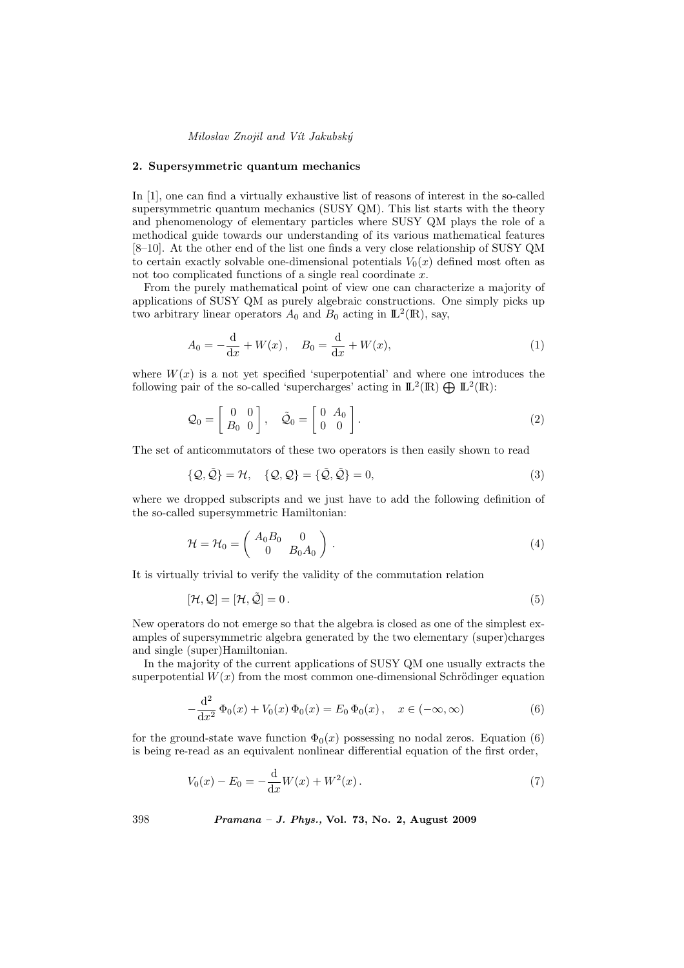#### 2. Supersymmetric quantum mechanics

In [1], one can find a virtually exhaustive list of reasons of interest in the so-called supersymmetric quantum mechanics (SUSY QM). This list starts with the theory and phenomenology of elementary particles where SUSY QM plays the role of a methodical guide towards our understanding of its various mathematical features [8–10]. At the other end of the list one finds a very close relationship of SUSY QM to certain exactly solvable one-dimensional potentials  $V_0(x)$  defined most often as not too complicated functions of a single real coordinate x.

From the purely mathematical point of view one can characterize a majority of applications of SUSY QM as purely algebraic constructions. One simply picks up two arbitrary linear operators  $A_0$  and  $B_0$  acting in  $\mathbb{L}^2(\mathbb{R})$ , say,

$$
A_0 = -\frac{d}{dx} + W(x), \quad B_0 = \frac{d}{dx} + W(x), \tag{1}
$$

where  $W(x)$  is a not yet specified 'superpotential' and where one introduces the where  $W(x)$  is a not yet specified 'superpotential' and where one intro-<br>following pair of the so-called 'supercharges' acting in  $\mathbb{L}^2(\mathbb{R}) \bigoplus \mathbb{L}^2(\mathbb{R})$ :

$$
\mathcal{Q}_0 = \left[ \begin{array}{cc} 0 & 0 \\ B_0 & 0 \end{array} \right], \quad \tilde{\mathcal{Q}}_0 = \left[ \begin{array}{cc} 0 & A_0 \\ 0 & 0 \end{array} \right]. \tag{2}
$$

The set of anticommutators of these two operators is then easily shown to read

$$
\{Q, \tilde{Q}\} = \mathcal{H}, \quad \{Q, Q\} = \{\tilde{Q}, \tilde{Q}\} = 0,
$$
\n(3)

where we dropped subscripts and we just have to add the following definition of the so-called supersymmetric Hamiltonian:

$$
\mathcal{H} = \mathcal{H}_0 = \begin{pmatrix} A_0 B_0 & 0 \\ 0 & B_0 A_0 \end{pmatrix} . \tag{4}
$$

It is virtually trivial to verify the validity of the commutation relation

$$
[\mathcal{H}, \mathcal{Q}] = [\mathcal{H}, \tilde{\mathcal{Q}}] = 0.
$$
\n<sup>(5)</sup>

New operators do not emerge so that the algebra is closed as one of the simplest examples of supersymmetric algebra generated by the two elementary (super)charges and single (super)Hamiltonian.

In the majority of the current applications of SUSY QM one usually extracts the superpotential  $W(x)$  from the most common one-dimensional Schrödinger equation

$$
-\frac{d^2}{dx^2}\Phi_0(x) + V_0(x)\Phi_0(x) = E_0\Phi_0(x), \quad x \in (-\infty, \infty)
$$
 (6)

for the ground-state wave function  $\Phi_0(x)$  possessing no nodal zeros. Equation (6) is being re-read as an equivalent nonlinear differential equation of the first order,

$$
V_0(x) - E_0 = -\frac{d}{dx}W(x) + W^2(x).
$$
 (7)

398 Pramana – J. Phys., Vol. 73, No. 2, August 2009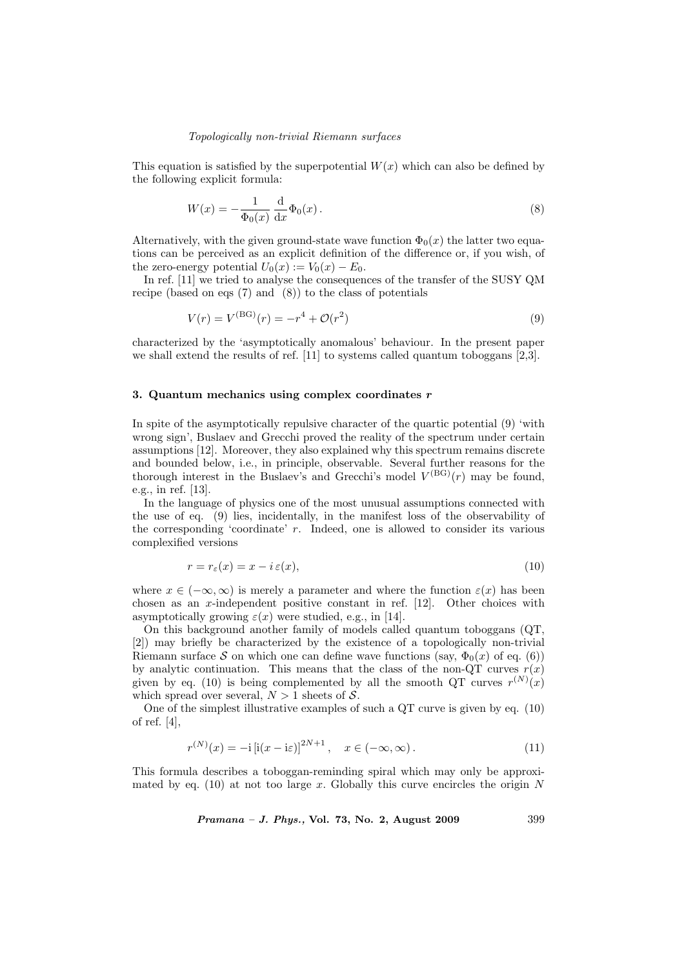# Topologically non-trivial Riemann surfaces

This equation is satisfied by the superpotential  $W(x)$  which can also be defined by the following explicit formula:

$$
W(x) = -\frac{1}{\Phi_0(x)} \frac{\mathrm{d}}{\mathrm{d}x} \Phi_0(x) \,. \tag{8}
$$

Alternatively, with the given ground-state wave function  $\Phi_0(x)$  the latter two equations can be perceived as an explicit definition of the difference or, if you wish, of the zero-energy potential  $U_0(x) := V_0(x) - E_0$ .

In ref. [11] we tried to analyse the consequences of the transfer of the SUSY QM recipe (based on eqs (7) and (8)) to the class of potentials

$$
V(r) = V^{(BG)}(r) = -r^4 + \mathcal{O}(r^2)
$$
\n(9)

characterized by the 'asymptotically anomalous' behaviour. In the present paper we shall extend the results of ref. [11] to systems called quantum toboggans [2,3].

## 3. Quantum mechanics using complex coordinates  $r$

In spite of the asymptotically repulsive character of the quartic potential (9) 'with wrong sign', Buslaev and Grecchi proved the reality of the spectrum under certain assumptions [12]. Moreover, they also explained why this spectrum remains discrete and bounded below, i.e., in principle, observable. Several further reasons for the thorough interest in the Buslaev's and Greechi's model  $V^{(BG)}(r)$  may be found, e.g., in ref. [13].

In the language of physics one of the most unusual assumptions connected with the use of eq. (9) lies, incidentally, in the manifest loss of the observability of the corresponding 'coordinate'  $r$ . Indeed, one is allowed to consider its various complexified versions

$$
r = r_{\varepsilon}(x) = x - i \, \varepsilon(x),\tag{10}
$$

where  $x \in (-\infty, \infty)$  is merely a parameter and where the function  $\varepsilon(x)$  has been chosen as an x-independent positive constant in ref. [12]. Other choices with asymptotically growing  $\varepsilon(x)$  were studied, e.g., in [14].

On this background another family of models called quantum toboggans (QT, [2]) may briefly be characterized by the existence of a topologically non-trivial Riemann surface S on which one can define wave functions (say,  $\Phi_0(x)$  of eq. (6)) by analytic continuation. This means that the class of the non-QT curves  $r(x)$ given by eq. (10) is being complemented by all the smooth QT curves  $r^{(N)}(x)$ which spread over several,  $N > 1$  sheets of S.

One of the simplest illustrative examples of such a QT curve is given by eq. (10) of ref. [4],

$$
r^{(N)}(x) = -i \left[i(x - i\varepsilon)\right]^{2N+1}, \quad x \in (-\infty, \infty). \tag{11}
$$

This formula describes a toboggan-reminding spiral which may only be approximated by eq. (10) at not too large x. Globally this curve encircles the origin  $N$ 

*Pramana – J. Phys.*, Vol. 73, No. 2, August 2009  $399$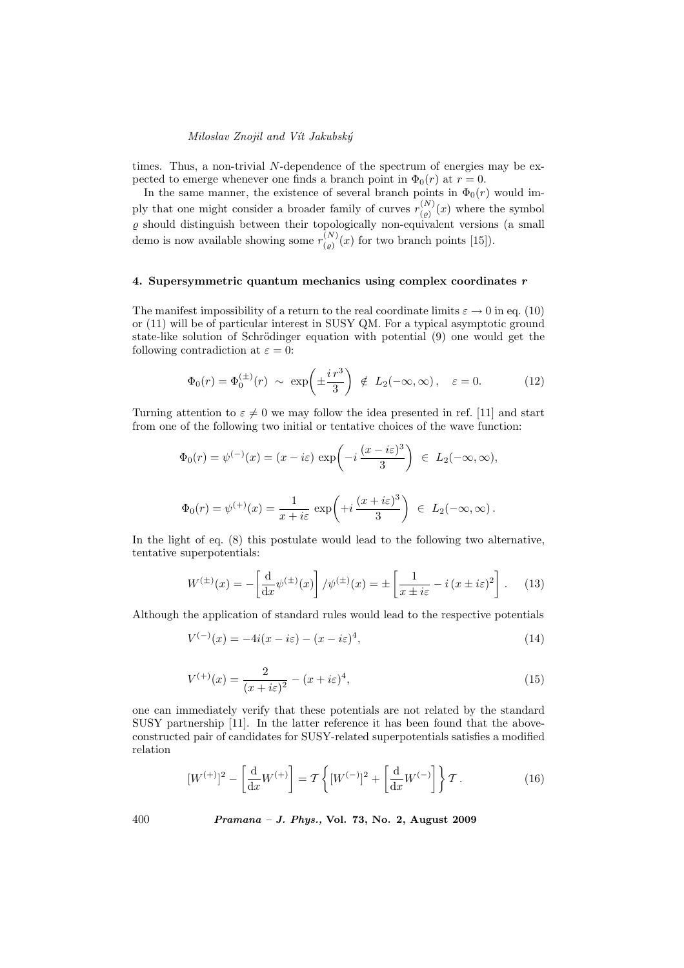times. Thus, a non-trivial N-dependence of the spectrum of energies may be expected to emerge whenever one finds a branch point in  $\Phi_0(r)$  at  $r=0$ .

In the same manner, the existence of several branch points in  $\Phi_0(r)$  would imply that one might consider a broader family of curves  $r_{(0)}^{(N)}$  $\binom{N}{\binom{p}{k}}(x)$  where the symbol  $\varrho$  should distinguish between their topologically non-equivalent versions (a small demo is now available showing some  $r_{(0)}^{(N)}$  $\binom{N}{\binom{\rho}{\ell}}(x)$  for two branch points [15]).

# 4. Supersymmetric quantum mechanics using complex coordinates  $r$

The manifest impossibility of a return to the real coordinate limits  $\varepsilon \to 0$  in eq. (10) or (11) will be of particular interest in SUSY QM. For a typical asymptotic ground state-like solution of Schrödinger equation with potential (9) one would get the following contradiction at  $\varepsilon = 0$ :

$$
\Phi_0(r) = \Phi_0^{(\pm)}(r) \sim \exp\left(\pm \frac{i\,r^3}{3}\right) \notin L_2(-\infty, \infty), \quad \varepsilon = 0. \tag{12}
$$

Turning attention to  $\varepsilon \neq 0$  we may follow the idea presented in ref. [11] and start from one of the following two initial or tentative choices of the wave function:

$$
\Phi_0(r) = \psi^{(-)}(x) = (x - i\varepsilon) \exp\left(-i\frac{(x - i\varepsilon)^3}{3}\right) \in L_2(-\infty, \infty),
$$
  

$$
\Phi_0(r) = \psi^{(+)}(x) = \frac{1}{x + i\varepsilon} \exp\left(+i\frac{(x + i\varepsilon)^3}{3}\right) \in L_2(-\infty, \infty).
$$

In the light of eq. (8) this postulate would lead to the following two alternative, tentative superpotentials:

$$
W^{(\pm)}(x) = -\left[\frac{\mathrm{d}}{\mathrm{d}x}\psi^{(\pm)}(x)\right]/\psi^{(\pm)}(x) = \pm\left[\frac{1}{x\pm i\varepsilon} - i(x\pm i\varepsilon)^2\right].\tag{13}
$$

Although the application of standard rules would lead to the respective potentials

$$
V^{(-)}(x) = -4i(x - i\varepsilon) - (x - i\varepsilon)^4,
$$
\n(14)

$$
V^{(+)}(x) = \frac{2}{(x+i\varepsilon)^2} - (x+i\varepsilon)^4,
$$
\n(15)

one can immediately verify that these potentials are not related by the standard SUSY partnership [11]. In the latter reference it has been found that the aboveconstructed pair of candidates for SUSY-related superpotentials satisfies a modified relation

$$
[W^{(+)}]^2 - \left[\frac{d}{dx}W^{(+)}\right] = \mathcal{T}\left\{ [W^{(-)}]^2 + \left[\frac{d}{dx}W^{(-)}\right] \right\}\mathcal{T}.
$$
 (16)

400 Pramana – J. Phys., Vol. 73, No. 2, August 2009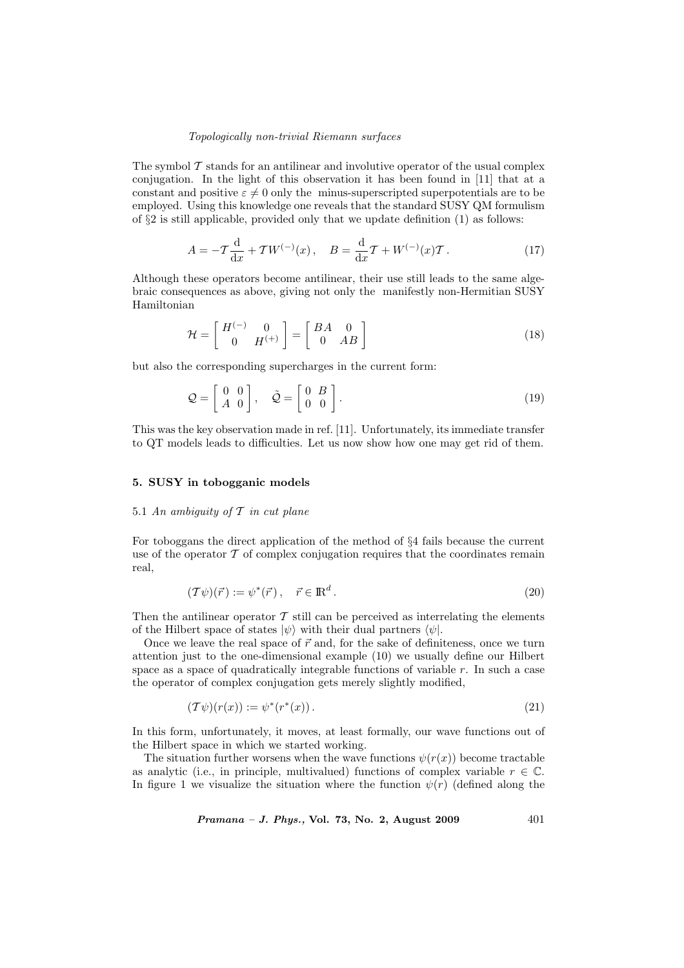#### Topologically non-trivial Riemann surfaces

The symbol  $\mathcal T$  stands for an antilinear and involutive operator of the usual complex conjugation. In the light of this observation it has been found in [11] that at a constant and positive  $\varepsilon \neq 0$  only the minus-superscripted superpotentials are to be employed. Using this knowledge one reveals that the standard SUSY QM formulism of §2 is still applicable, provided only that we update definition (1) as follows:

$$
A = -T\frac{d}{dx} + TW^{(-)}(x), \quad B = \frac{d}{dx}T + W^{(-)}(x)T.
$$
 (17)

Although these operators become antilinear, their use still leads to the same algebraic consequences as above, giving not only the manifestly non-Hermitian SUSY Hamiltonian

$$
\mathcal{H} = \begin{bmatrix} H^{(-)} & 0 \\ 0 & H^{(+)} \end{bmatrix} = \begin{bmatrix} BA & 0 \\ 0 & AB \end{bmatrix}
$$
 (18)

but also the corresponding supercharges in the current form:

$$
\mathcal{Q} = \begin{bmatrix} 0 & 0 \\ A & 0 \end{bmatrix}, \quad \tilde{\mathcal{Q}} = \begin{bmatrix} 0 & B \\ 0 & 0 \end{bmatrix}.
$$
 (19)

This was the key observation made in ref. [11]. Unfortunately, its immediate transfer to QT models leads to difficulties. Let us now show how one may get rid of them.

## 5. SUSY in tobogganic models

# 5.1 An ambiguity of  $T$  in cut plane

For toboggans the direct application of the method of §4 fails because the current use of the operator  $\mathcal T$  of complex conjugation requires that the coordinates remain real,

$$
(\mathcal{T}\psi)(\vec{r}) := \psi^*(\vec{r}), \quad \vec{r} \in \mathbb{R}^d. \tag{20}
$$

Then the antilinear operator  $T$  still can be perceived as interrelating the elements of the Hilbert space of states  $|\psi\rangle$  with their dual partners  $\langle \psi |$ .

Once we leave the real space of  $\vec{r}$  and, for the sake of definiteness, once we turn attention just to the one-dimensional example (10) we usually define our Hilbert space as a space of quadratically integrable functions of variable  $r$ . In such a case the operator of complex conjugation gets merely slightly modified,

$$
(\mathcal{T}\psi)(r(x)) := \psi^*(r^*(x)).\tag{21}
$$

In this form, unfortunately, it moves, at least formally, our wave functions out of the Hilbert space in which we started working.

The situation further worsens when the wave functions  $\psi(r(x))$  become tractable as analytic (i.e., in principle, multivalued) functions of complex variable  $r \in \mathbb{C}$ . In figure 1 we visualize the situation where the function  $\psi(r)$  (defined along the

*Pramana – J. Phys.*, Vol. 73, No. 2, August 2009  $401$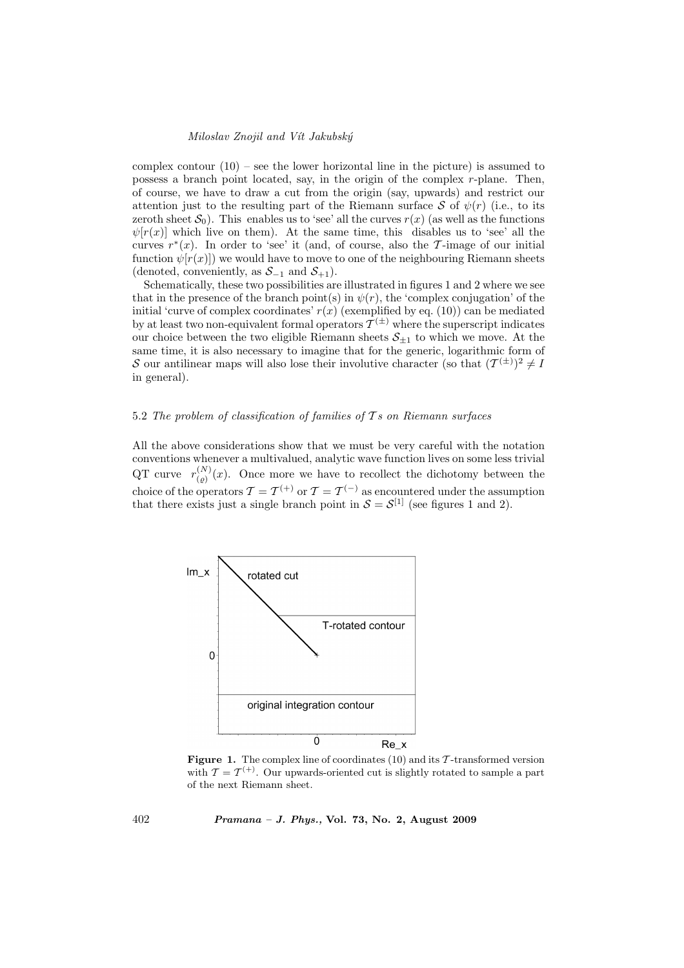complex contour  $(10)$  – see the lower horizontal line in the picture) is assumed to possess a branch point located, say, in the origin of the complex r-plane. Then, of course, we have to draw a cut from the origin (say, upwards) and restrict our attention just to the resulting part of the Riemann surface S of  $\psi(r)$  (i.e., to its zeroth sheet  $S_0$ ). This enables us to 'see' all the curves  $r(x)$  (as well as the functions  $\psi[r(x)]$  which live on them). At the same time, this disables us to 'see' all the curves  $r^*(x)$ . In order to 'see' it (and, of course, also the T-image of our initial function  $\psi(r(x))$  we would have to move to one of the neighbouring Riemann sheets (denoted, conveniently, as  $S_{-1}$  and  $S_{+1}$ ).

Schematically, these two possibilities are illustrated in figures 1 and 2 where we see that in the presence of the branch point(s) in  $\psi(r)$ , the 'complex conjugation' of the initial 'curve of complex coordinates'  $r(x)$  (exemplified by eq. (10)) can be mediated by at least two non-equivalent formal operators  $\mathcal{T}^{(\pm)}$  where the superscript indicates our choice between the two eligible Riemann sheets  $S_{+1}$  to which we move. At the same time, it is also necessary to imagine that for the generic, logarithmic form of S our antilinear maps will also lose their involutive character (so that  $(T^{(\pm)})^2 \neq I$ in general).

## 5.2 The problem of classification of families of  $\mathcal{T}s$  on Riemann surfaces

All the above considerations show that we must be very careful with the notation conventions whenever a multivalued, analytic wave function lives on some less trivial QT curve  $r_{(0)}^{(N)}$  $\binom{N}{\binom{p}{k}}(x)$ . Once more we have to recollect the dichotomy between the choice of the operators  $\mathcal{T} = \mathcal{T}^{(+)}$  or  $\mathcal{T} = \mathcal{T}^{(-)}$  as encountered under the assumption that there exists just a single branch point in  $S = S^{[1]}$  (see figures 1 and 2).



**Figure 1.** The complex line of coordinates (10) and its  $\mathcal{T}$ -transformed version with  $\mathcal{T} = \mathcal{T}^{(+)}$ . Our upwards-oriented cut is slightly rotated to sample a part of the next Riemann sheet.

402 Pramana – J. Phys., Vol. 73, No. 2, August 2009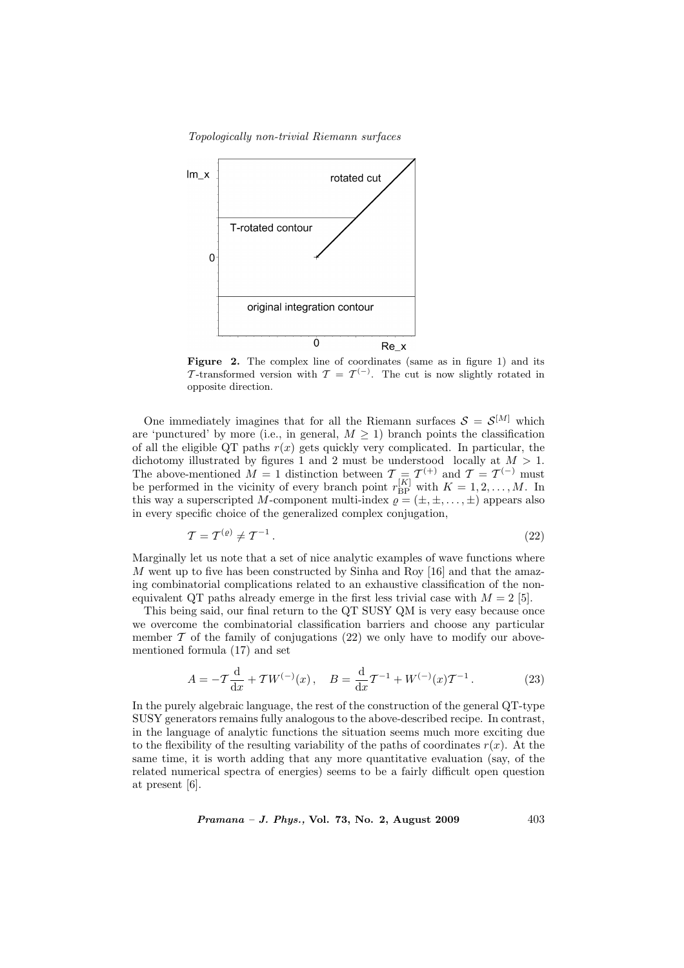Topologically non-trivial Riemann surfaces



Figure 2. The complex line of coordinates (same as in figure 1) and its T-transformed version with  $\mathcal{T} = \mathcal{T}^{(-)}$ . The cut is now slightly rotated in opposite direction.

One immediately imagines that for all the Riemann surfaces  $S = S^{[M]}$  which are 'punctured' by more (i.e., in general,  $M > 1$ ) branch points the classification of all the eligible QT paths  $r(x)$  gets quickly very complicated. In particular, the dichotomy illustrated by figures 1 and 2 must be understood locally at  $M > 1$ . The above-mentioned  $\hat{M} = 1$  distinction between  $\mathcal{T} = \mathcal{T}^{(+)}$  and  $\mathcal{T} = \mathcal{T}^{(-)}$  must be performed in the vicinity of every branch point  $r_{\text{BP}}^{[K]}$  with  $K = 1, 2, ..., M$ . In this way a superscripted M-component multi-index  $\rho = (\pm, \pm, \dots, \pm)$  appears also in every specific choice of the generalized complex conjugation,

$$
\mathcal{T} = \mathcal{T}^{(\varrho)} \neq \mathcal{T}^{-1} \,. \tag{22}
$$

Marginally let us note that a set of nice analytic examples of wave functions where  $M$  went up to five has been constructed by Sinha and Roy [16] and that the amazing combinatorial complications related to an exhaustive classification of the nonequivalent QT paths already emerge in the first less trivial case with  $M = 2$  [5].

This being said, our final return to the QT SUSY QM is very easy because once we overcome the combinatorial classification barriers and choose any particular member  $\mathcal T$  of the family of conjugations (22) we only have to modify our abovementioned formula (17) and set

$$
A = -T\frac{d}{dx} + TW^{(-)}(x), \quad B = \frac{d}{dx}T^{-1} + W^{(-)}(x)T^{-1}.
$$
 (23)

In the purely algebraic language, the rest of the construction of the general QT-type SUSY generators remains fully analogous to the above-described recipe. In contrast, in the language of analytic functions the situation seems much more exciting due to the flexibility of the resulting variability of the paths of coordinates  $r(x)$ . At the same time, it is worth adding that any more quantitative evaluation (say, of the related numerical spectra of energies) seems to be a fairly difficult open question at present [6].

*Pramana – J. Phys.*, Vol. 73, No. 2, August 2009  $403$